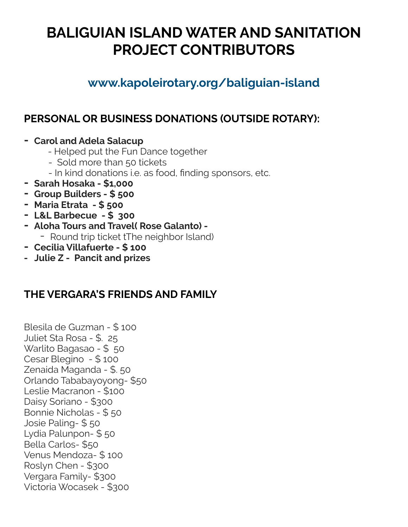# **BALIGUIAN ISLAND WATER AND SANITATION PROJECT CONTRIBUTORS**

### **www.kapoleirotary.org/baliguian-island**

### **PERSONAL OR BUSINESS DONATIONS (OUTSIDE ROTARY):**

- **- Carol and Adela Salacup**
	- Helped put the Fun Dance together
	- Sold more than 50 tickets
	- In kind donations i.e. as food, finding sponsors, etc.
- **- Sarah Hosaka \$1,000**
- **- Group Builders \$ 500**
- **- Maria Etrata \$ 500**
- **- L&L Barbecue \$ 300**
- **- Aloha Tours and Travel( Rose Galanto)** 
	- Round trip ticket tThe neighbor Island)
- **- Cecilia Villafuerte \$ 100**
- **Julie Z Pancit and prizes**

#### **THE VERGARA'S FRIENDS AND FAMILY**

Blesila de Guzman - \$ 100 Juliet Sta Rosa - \$. 25 Warlito Bagasao - \$ 50 Cesar Blegino - \$ 100 Zenaida Maganda - \$. 50 Orlando Tababayoyong- \$50 Leslie Macranon - \$100 Daisy Soriano - \$300 Bonnie Nicholas - \$ 50 Josie Paling- \$ 50 Lydia Palunpon- \$ 50 Bella Carlos- \$50 Venus Mendoza- \$ 100 Roslyn Chen - \$300 Vergara Family- \$300 Victoria Wocasek - \$300